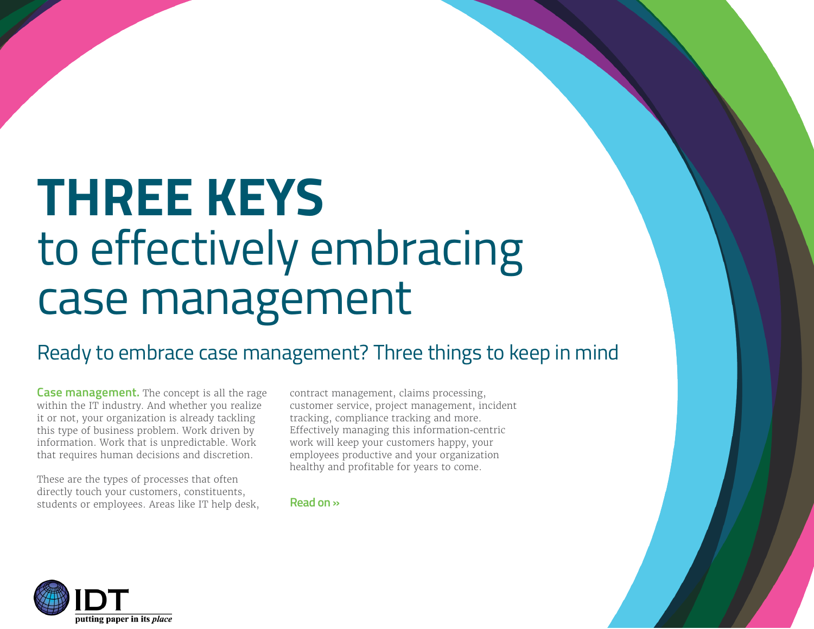## **THREE KEYS** to effectively embracing case management

### Ready to embrace case management? Three things to keep in mind

**Case management.** The concept is all the rage within the IT industry. And whether you realize it or not, your organization is already tackling this type of business problem. Work driven by information. Work that is unpredictable. Work that requires human decisions and discretion.

These are the types of processes that often directly touch your customers, constituents, students or employees. Areas like IT help desk,

contract management, claims processing, customer service, project management, incident tracking, compliance tracking and more. Effectively managing this information-centric work will keep your customers happy, your employees productive and your organization healthy and profitable for years to come.

**Read on »**

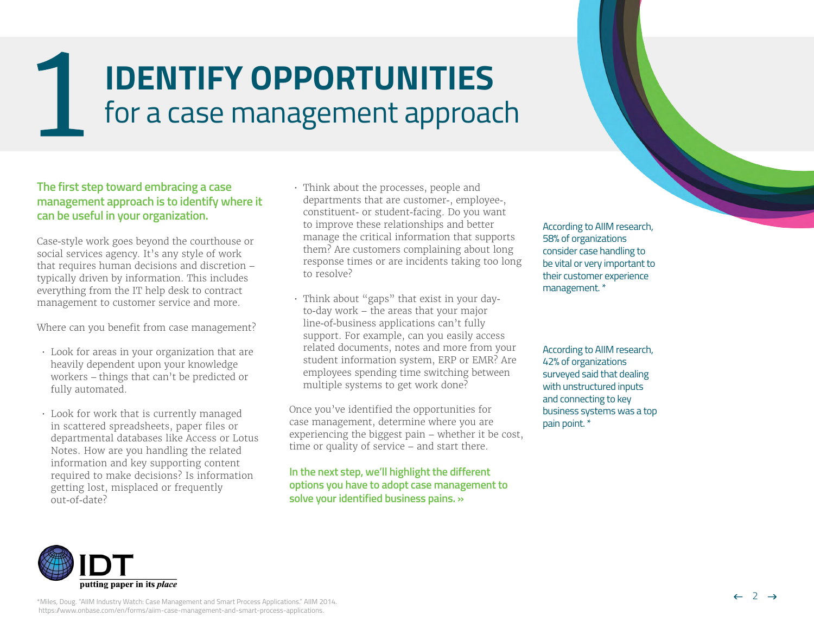## **IDENTIFY OPPORTUNITIES** for a case management approach

#### **The first step toward embracing a case management approach is to identify where it can be useful in your organization.**

Case-style work goes beyond the courthouse or social services agency. It's any style of work that requires human decisions and discretion – typically driven by information. This includes everything from the IT help desk to contract management to customer service and more.

Where can you benefit from case management?

- Look for areas in your organization that are heavily dependent upon your knowledge workers – things that can't be predicted or fully automated.
- Look for work that is currently managed in scattered spreadsheets, paper files or departmental databases like Access or Lotus Notes. How are you handling the related information and key supporting content required to make decisions? Is information getting lost, misplaced or frequently out-of-date?
- Think about the processes, people and departments that are customer-, employee-, constituent- or student-facing. Do you want to improve these relationships and better manage the critical information that supports them? Are customers complaining about long response times or are incidents taking too long to resolve?
- Think about "gaps" that exist in your dayto-day work – the areas that your major line-of-business applications can't fully support. For example, can you easily access related documents, notes and more from your student information system, ERP or EMR? Are employees spending time switching between multiple systems to get work done?

Once you've identified the opportunities for case management, determine where you are experiencing the biggest pain – whether it be cost, time or quality of service – and start there.

**[In the next step, we'll highlight the different](#page-2-0)  [options you have to adopt case management to](#page-2-0)  [solve your identified business pains. »](#page-2-0)**

According to AIIM research, 58% of organizations consider case handling to be vital or very important to their customer experience management. \*

According to AIIM research, 42% of organizations surveyed said that dealing with unstructured inputs and connecting to key business systems was a top pain point. \*

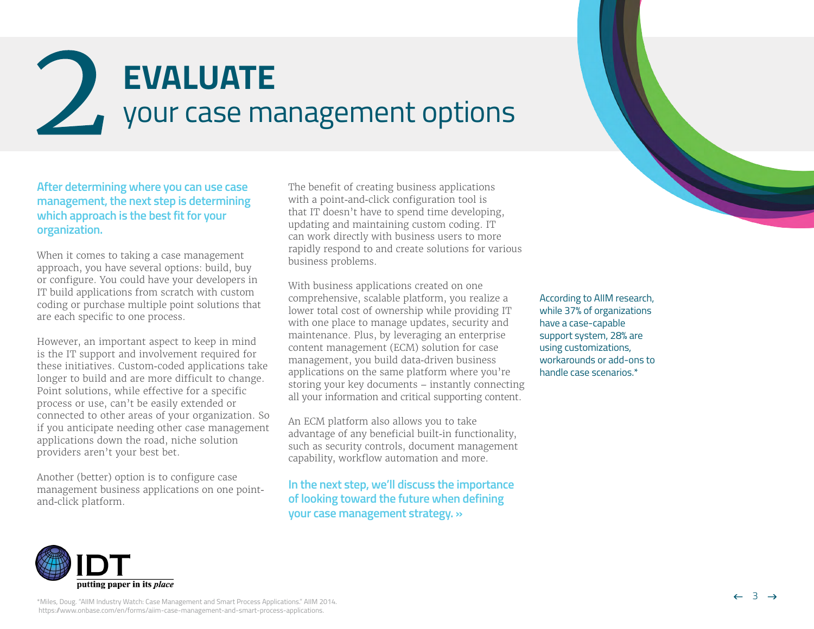<span id="page-2-0"></span>



**After determining where you can use case management, the next step is determining which approach is the best fit for your organization.**

When it comes to taking a case management approach, you have several options: build, buy or configure. You could have your developers in IT build applications from scratch with custom coding or purchase multiple point solutions that are each specific to one process.

However, an important aspect to keep in mind is the IT support and involvement required for these initiatives. Custom-coded applications take longer to build and are more difficult to change. Point solutions, while effective for a specific process or use, can't be easily extended or connected to other areas of your organization. So if you anticipate needing other case management applications down the road, niche solution providers aren't your best bet.

Another (better) option is to configure case management business applications on one pointand-click platform.

The benefit of creating business applications with a point-and-click configuration tool is that IT doesn't have to spend time developing, updating and maintaining custom coding. IT can work directly with business users to more rapidly respond to and create solutions for various business problems.

With business applications created on one comprehensive, scalable platform, you realize a lower total cost of ownership while providing IT with one place to manage updates, security and maintenance. Plus, by leveraging an enterprise content management (ECM) solution for case management, you build data-driven business applications on the same platform where you're storing your key documents – instantly connecting all your information and critical supporting content.

An ECM platform also allows you to take advantage of any beneficial built-in functionality, such as security controls, document management capability, workflow automation and more.

**[In the next step, we'll discuss the importance](#page-3-0)  [of looking toward the future when defining](#page-3-0)  [your case management strategy. »](#page-3-0)**

According to AIIM research, while 37% of organizations have a case-capable support system, 28% are using customizations, workarounds or add-ons to handle case scenarios.\*